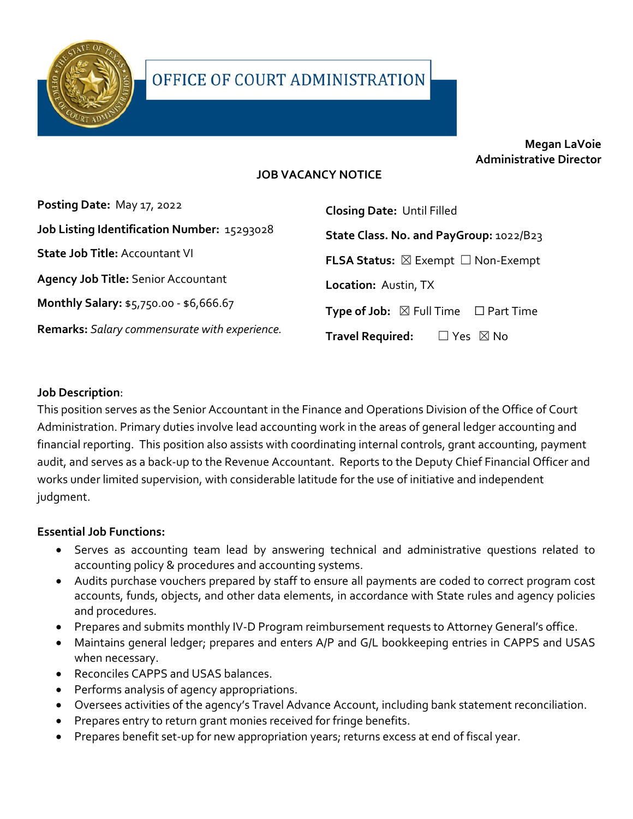

# **Megan LaVoie Administrative Director**

### **JOB VACANCY NOTICE**

| Posting Date: May 17, 2022                    | <b>Closing Date: Until Filled</b>                          |
|-----------------------------------------------|------------------------------------------------------------|
| Job Listing Identification Number: 15293028   | State Class. No. and PayGroup: 1022/B23                    |
| <b>State Job Title: Accountant VI</b>         | <b>FLSA Status:</b> $\boxtimes$ Exempt $\Box$ Non-Exempt   |
| <b>Agency Job Title: Senior Accountant</b>    | Location: Austin, TX                                       |
| Monthly Salary: \$5,750.00 - \$6,666.67       | <b>Type of Job:</b> $\boxtimes$ Full Time $\Box$ Part Time |
| Remarks: Salary commensurate with experience. | <b>Travel Required:</b><br>$\Box$ Yes $\ \boxtimes$ No     |

#### **Job Description**:

This position serves as the Senior Accountant in the Finance and Operations Division of the Office of Court Administration. Primary duties involve lead accounting work in the areas of general ledger accounting and financial reporting. This position also assists with coordinating internal controls, grant accounting, payment audit, and serves as a back-up to the Revenue Accountant. Reports to the Deputy Chief Financial Officer and works under limited supervision, with considerable latitude for the use of initiative and independent judgment.

#### **Essential Job Functions:**

- Serves as accounting team lead by answering technical and administrative questions related to accounting policy & procedures and accounting systems.
- Audits purchase vouchers prepared by staff to ensure all payments are coded to correct program cost accounts, funds, objects, and other data elements, in accordance with State rules and agency policies and procedures.
- Prepares and submits monthly IV-D Program reimbursement requests to Attorney General's office.
- Maintains general ledger; prepares and enters A/P and G/L bookkeeping entries in CAPPS and USAS when necessary.
- Reconciles CAPPS and USAS balances.
- Performs analysis of agency appropriations.
- Oversees activities of the agency's Travel Advance Account, including bank statement reconciliation.
- Prepares entry to return grant monies received for fringe benefits.
- Prepares benefit set-up for new appropriation years; returns excess at end of fiscal year.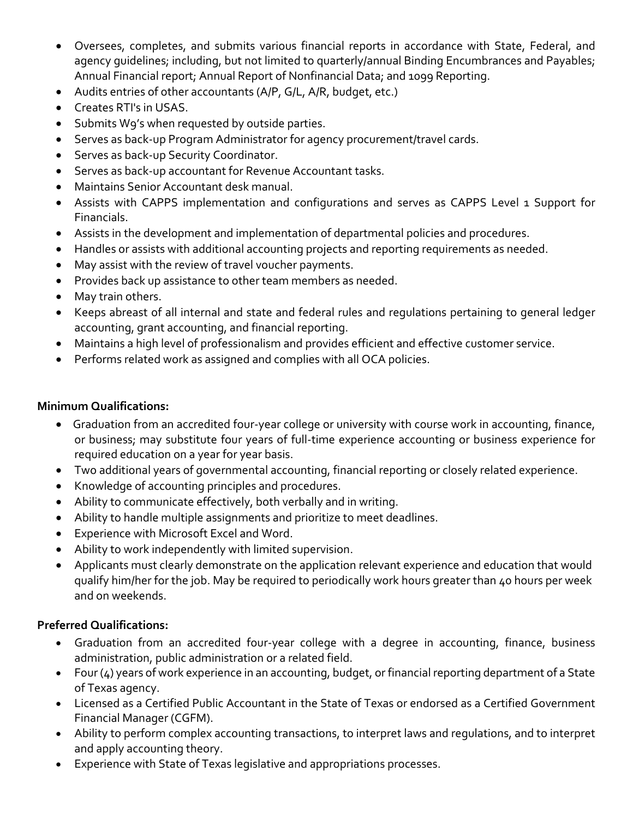- Oversees, completes, and submits various financial reports in accordance with State, Federal, and agency guidelines; including, but not limited to quarterly/annual Binding Encumbrances and Payables; Annual Financial report; Annual Report of Nonfinancial Data; and 1099 Reporting.
- Audits entries of other accountants (A/P, G/L, A/R, budget, etc.)
- Creates RTI's in USAS.
- Submits W9's when requested by outside parties.
- Serves as back-up Program Administrator for agency procurement/travel cards.
- Serves as back-up Security Coordinator.
- Serves as back-up accountant for Revenue Accountant tasks.
- Maintains Senior Accountant desk manual.
- Assists with CAPPS implementation and configurations and serves as CAPPS Level 1 Support for Financials.
- Assists in the development and implementation of departmental policies and procedures.
- Handles or assists with additional accounting projects and reporting requirements as needed.
- May assist with the review of travel voucher payments.
- Provides back up assistance to other team members as needed.
- May train others.
- Keeps abreast of all internal and state and federal rules and regulations pertaining to general ledger accounting, grant accounting, and financial reporting.
- Maintains a high level of professionalism and provides efficient and effective customer service.
- Performs related work as assigned and complies with all OCA policies.

# **Minimum Qualifications:**

- Graduation from an accredited four-year college or university with course work in accounting, finance, or business; may substitute four years of full-time experience accounting or business experience for required education on a year for year basis.
- Two additional years of governmental accounting, financial reporting or closely related experience.
- Knowledge of accounting principles and procedures.
- Ability to communicate effectively, both verbally and in writing.
- Ability to handle multiple assignments and prioritize to meet deadlines.
- Experience with Microsoft Excel and Word.
- Ability to work independently with limited supervision.
- Applicants must clearly demonstrate on the application relevant experience and education that would qualify him/her for the job. May be required to periodically work hours greater than 40 hours per week and on weekends.

# **Preferred Qualifications:**

- Graduation from an accredited four-year college with a degree in accounting, finance, business administration, public administration or a related field.
- Four (4) years of work experience in an accounting, budget, or financial reporting department of a State of Texas agency.
- Licensed as a Certified Public Accountant in the State of Texas or endorsed as a Certified Government Financial Manager (CGFM).
- Ability to perform complex accounting transactions, to interpret laws and regulations, and to interpret and apply accounting theory.
- Experience with State of Texas legislative and appropriations processes.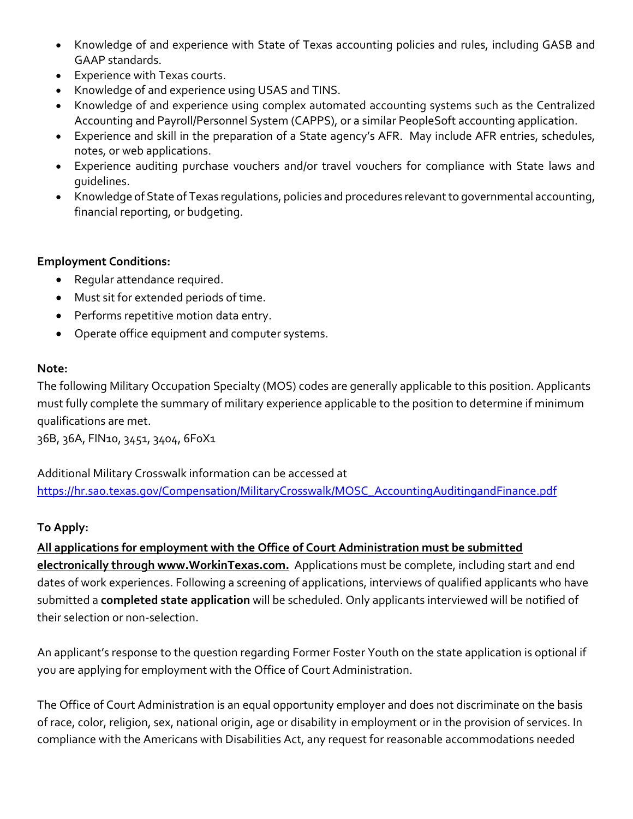- Knowledge of and experience with State of Texas accounting policies and rules, including GASB and GAAP standards.
- Experience with Texas courts.
- Knowledge of and experience using USAS and TINS.
- Knowledge of and experience using complex automated accounting systems such as the Centralized Accounting and Payroll/Personnel System (CAPPS), or a similar PeopleSoft accounting application.
- Experience and skill in the preparation of a State agency's AFR. May include AFR entries, schedules, notes, or web applications.
- Experience auditing purchase vouchers and/or travel vouchers for compliance with State laws and guidelines.
- Knowledge of State of Texas regulations, policies and procedures relevant to governmental accounting, financial reporting, or budgeting.

### **Employment Conditions:**

- Regular attendance required.
- Must sit for extended periods of time.
- Performs repetitive motion data entry.
- Operate office equipment and computer systems.

### **Note:**

The following Military Occupation Specialty (MOS) codes are generally applicable to this position. Applicants must fully complete the summary of military experience applicable to the position to determine if minimum qualifications are met.

36B, 36A, FIN10, 3451, 3404, 6F0X1

Additional Military Crosswalk information can be accessed at [https://hr.sao.texas.gov/Compensation/MilitaryCrosswalk/MOSC\\_AccountingAuditingandFinance.pdf](https://hr.sao.texas.gov/Compensation/MilitaryCrosswalk/MOSC_AccountingAuditingandFinance.pdf) 

# **To Apply:**

**All applications for employment with the Office of Court Administration must be submitted electronically through www.WorkinTexas.com.** Applications must be complete, including start and end dates of work experiences. Following a screening of applications, interviews of qualified applicants who have submitted a **completed state application** will be scheduled. Only applicants interviewed will be notified of their selection or non-selection.

An applicant's response to the question regarding Former Foster Youth on the state application is optional if you are applying for employment with the Office of Court Administration.

The Office of Court Administration is an equal opportunity employer and does not discriminate on the basis of race, color, religion, sex, national origin, age or disability in employment or in the provision of services. In compliance with the Americans with Disabilities Act, any request for reasonable accommodations needed